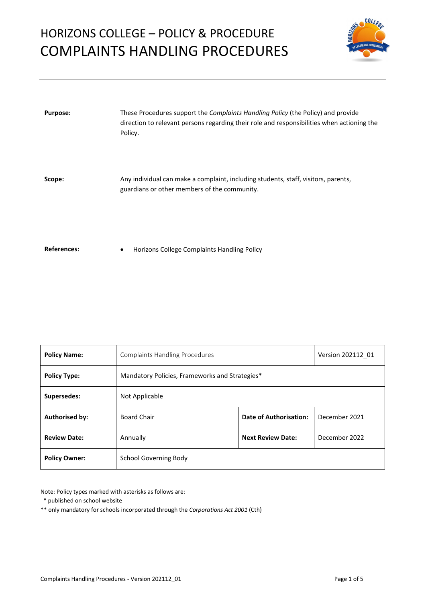# HORIZONS COLLEGE – POLICY & PROCEDURE COMPLAINTS HANDLING PROCEDURES



| <b>Purpose:</b>    | These Procedures support the <i>Complaints Handling Policy</i> (the Policy) and provide<br>direction to relevant persons regarding their role and responsibilities when actioning the<br>Policy. |
|--------------------|--------------------------------------------------------------------------------------------------------------------------------------------------------------------------------------------------|
| Scope:             | Any individual can make a complaint, including students, staff, visitors, parents,<br>guardians or other members of the community.                                                               |
| <b>References:</b> | Horizons College Complaints Handling Policy<br>٠                                                                                                                                                 |

| <b>Policy Name:</b>   | <b>Complaints Handling Procedures</b>          | Version 202112 01        |               |  |
|-----------------------|------------------------------------------------|--------------------------|---------------|--|
| <b>Policy Type:</b>   | Mandatory Policies, Frameworks and Strategies* |                          |               |  |
| Supersedes:           | Not Applicable                                 |                          |               |  |
| <b>Authorised by:</b> | <b>Board Chair</b>                             | Date of Authorisation:   | December 2021 |  |
| <b>Review Date:</b>   | Annually                                       | <b>Next Review Date:</b> | December 2022 |  |
| <b>Policy Owner:</b>  | School Governing Body                          |                          |               |  |

Note: Policy types marked with asterisks as follows are:

\* published on school website

\*\* only mandatory for schools incorporated through the *Corporations Act 2001* (Cth)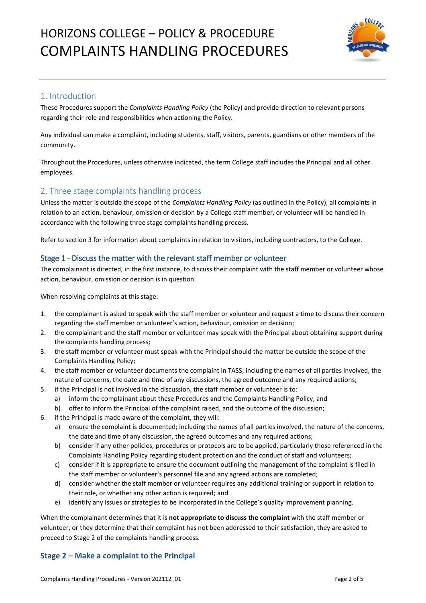

# 1. Introduction

These Procedures support the *Complaints Handling Policy* (the Policy) and provide direction to relevant persons regarding their role and responsibilities when actioning the Policy.

Any individual can make a complaint, including students, staff, visitors, parents, guardians or other members of the community.

Throughout the Procedures, unless otherwise indicated, the term College staff includes the Principal and all other employees.

# 2. Three stage complaints handling process

Unless the matter is outside the scope of the *Complaints Handling Policy* (as outlined in the Policy), all complaints in relation to an action, behaviour, omission or decision by a College staff member, or volunteer will be handled in accordance with the following three stage complaints handling process.

Refer to section 3 for information about complaints in relation to visitors, including contractors, to the College.

## Stage 1 - Discuss the matter with the relevant staff member or volunteer

The complainant is directed, in the first instance, to discuss their complaint with the staff member or volunteer whose action, behaviour, omission or decision is in question.

When resolving complaints at this stage:

- 1. the complainant is asked to speak with the staff member or volunteer and request a time to discuss their concern regarding the staff member or volunteer's action, behaviour, omission or decision;
- 2. the complainant and the staff member or volunteer may speak with the Principal about obtaining support during the complaints handling process;
- 3. the staff member or volunteer must speak with the Principal should the matter be outside the scope of the Complaints Handling Policy;
- 4. the staff member or volunteer documents the complaint in TASS; including the names of all parties involved, the nature of concerns, the date and time of any discussions, the agreed outcome and any required actions;
- 5. if the Principal is not involved in the discussion, the staff member or volunteer is to:
	- a) inform the complainant about these Procedures and the Complaints Handling Policy, and
	- b) offer to inform the Principal of the complaint raised, and the outcome of the discussion;
- 6. if the Principal is made aware of the complaint, they will:
	- a) ensure the complaint is documented; including the names of all parties involved, the nature of the concerns, the date and time of any discussion, the agreed outcomes and any required actions;
	- b) consider if any other policies, procedures or protocols are to be applied, particularly those referenced in the Complaints Handling Policy regarding student protection and the conduct of staff and volunteers;
	- c) consider if it is appropriate to ensure the document outlining the management of the complaint is filed in the staff member or volunteer's personnel file and any agreed actions are completed;
	- d) consider whether the staff member or volunteer requires any additional training or support in relation to their role, or whether any other action is required; and
	- e) identify any issues or strategies to be incorporated in the College's quality improvement planning.

When the complainant determines that it is **not appropriate to discuss the complaint** with the staff member or volunteer, or they determine that their complaint has not been addressed to their satisfaction, they are asked to proceed to Stage 2 of the complaints handling process.

## **Stage 2 – Make a complaint to the Principal**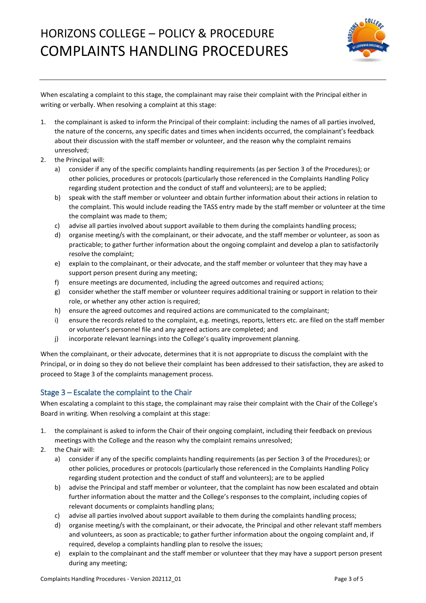# HORIZONS COLLEGE – POLICY & PROCEDURE COMPLAINTS HANDLING PROCEDURES



When escalating a complaint to this stage, the complainant may raise their complaint with the Principal either in writing or verbally. When resolving a complaint at this stage:

- 1. the complainant is asked to inform the Principal of their complaint: including the names of all parties involved, the nature of the concerns, any specific dates and times when incidents occurred, the complainant's feedback about their discussion with the staff member or volunteer, and the reason why the complaint remains unresolved;
- 2. the Principal will:
	- a) consider if any of the specific complaints handling requirements (as per Section 3 of the Procedures); or other policies, procedures or protocols (particularly those referenced in the Complaints Handling Policy regarding student protection and the conduct of staff and volunteers); are to be applied;
	- b) speak with the staff member or volunteer and obtain further information about their actions in relation to the complaint. This would include reading the TASS entry made by the staff member or volunteer at the time the complaint was made to them;
	- c) advise all parties involved about support available to them during the complaints handling process;
	- d) organise meeting/s with the complainant, or their advocate, and the staff member or volunteer, as soon as practicable; to gather further information about the ongoing complaint and develop a plan to satisfactorily resolve the complaint;
	- e) explain to the complainant, or their advocate, and the staff member or volunteer that they may have a support person present during any meeting;
	- f) ensure meetings are documented, including the agreed outcomes and required actions;
	- g) consider whether the staff member or volunteer requires additional training or support in relation to their role, or whether any other action is required;
	- h) ensure the agreed outcomes and required actions are communicated to the complainant;
	- i) ensure the records related to the complaint, e.g. meetings, reports, letters etc. are filed on the staff member or volunteer's personnel file and any agreed actions are completed; and
	- j) incorporate relevant learnings into the College's quality improvement planning.

When the complainant, or their advocate, determines that it is not appropriate to discuss the complaint with the Principal, or in doing so they do not believe their complaint has been addressed to their satisfaction, they are asked to proceed to Stage 3 of the complaints management process.

#### Stage 3 – Escalate the complaint to the Chair

When escalating a complaint to this stage, the complainant may raise their complaint with the Chair of the College's Board in writing. When resolving a complaint at this stage:

- 1. the complainant is asked to inform the Chair of their ongoing complaint, including their feedback on previous meetings with the College and the reason why the complaint remains unresolved;
- 2. the Chair will:
	- a) consider if any of the specific complaints handling requirements (as per Section 3 of the Procedures); or other policies, procedures or protocols (particularly those referenced in the Complaints Handling Policy regarding student protection and the conduct of staff and volunteers); are to be applied
	- b) advise the Principal and staff member or volunteer, that the complaint has now been escalated and obtain further information about the matter and the College's responses to the complaint, including copies of relevant documents or complaints handling plans;
	- c) advise all parties involved about support available to them during the complaints handling process;
	- d) organise meeting/s with the complainant, or their advocate, the Principal and other relevant staff members and volunteers, as soon as practicable; to gather further information about the ongoing complaint and, if required, develop a complaints handling plan to resolve the issues;
	- e) explain to the complainant and the staff member or volunteer that they may have a support person present during any meeting;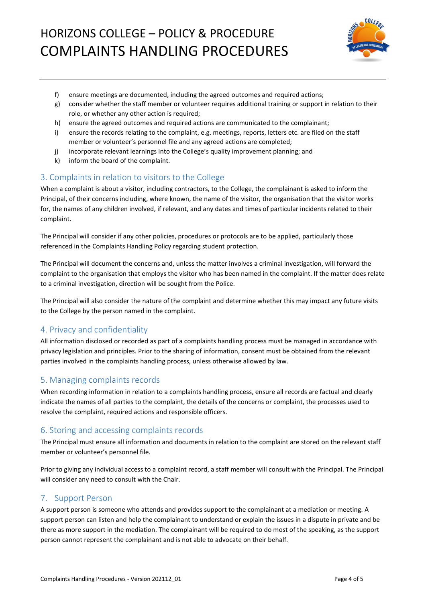

- f) ensure meetings are documented, including the agreed outcomes and required actions;
- g) consider whether the staff member or volunteer requires additional training or support in relation to their role, or whether any other action is required;
- h) ensure the agreed outcomes and required actions are communicated to the complainant;
- i) ensure the records relating to the complaint, e.g. meetings, reports, letters etc. are filed on the staff member or volunteer's personnel file and any agreed actions are completed;
- j) incorporate relevant learnings into the College's quality improvement planning; and
- k) inform the board of the complaint.

# 3. Complaints in relation to visitors to the College

When a complaint is about a visitor, including contractors, to the College, the complainant is asked to inform the Principal, of their concerns including, where known, the name of the visitor, the organisation that the visitor works for, the names of any children involved, if relevant, and any dates and times of particular incidents related to their complaint.

The Principal will consider if any other policies, procedures or protocols are to be applied, particularly those referenced in the Complaints Handling Policy regarding student protection.

The Principal will document the concerns and, unless the matter involves a criminal investigation, will forward the complaint to the organisation that employs the visitor who has been named in the complaint. If the matter does relate to a criminal investigation, direction will be sought from the Police.

The Principal will also consider the nature of the complaint and determine whether this may impact any future visits to the College by the person named in the complaint.

## 4. Privacy and confidentiality

All information disclosed or recorded as part of a complaints handling process must be managed in accordance with privacy legislation and principles. Prior to the sharing of information, consent must be obtained from the relevant parties involved in the complaints handling process, unless otherwise allowed by law.

## 5. Managing complaints records

When recording information in relation to a complaints handling process, ensure all records are factual and clearly indicate the names of all parties to the complaint, the details of the concerns or complaint, the processes used to resolve the complaint, required actions and responsible officers.

#### 6. Storing and accessing complaints records

The Principal must ensure all information and documents in relation to the complaint are stored on the relevant staff member or volunteer's personnel file.

Prior to giving any individual access to a complaint record, a staff member will consult with the Principal. The Principal will consider any need to consult with the Chair.

## 7. Support Person

A support person is someone who attends and provides support to the complainant at a mediation or meeting. A support person can listen and help the complainant to understand or explain the issues in a dispute in private and be there as more support in the mediation. The complainant will be required to do most of the speaking, as the support person cannot represent the complainant and is not able to advocate on their behalf.